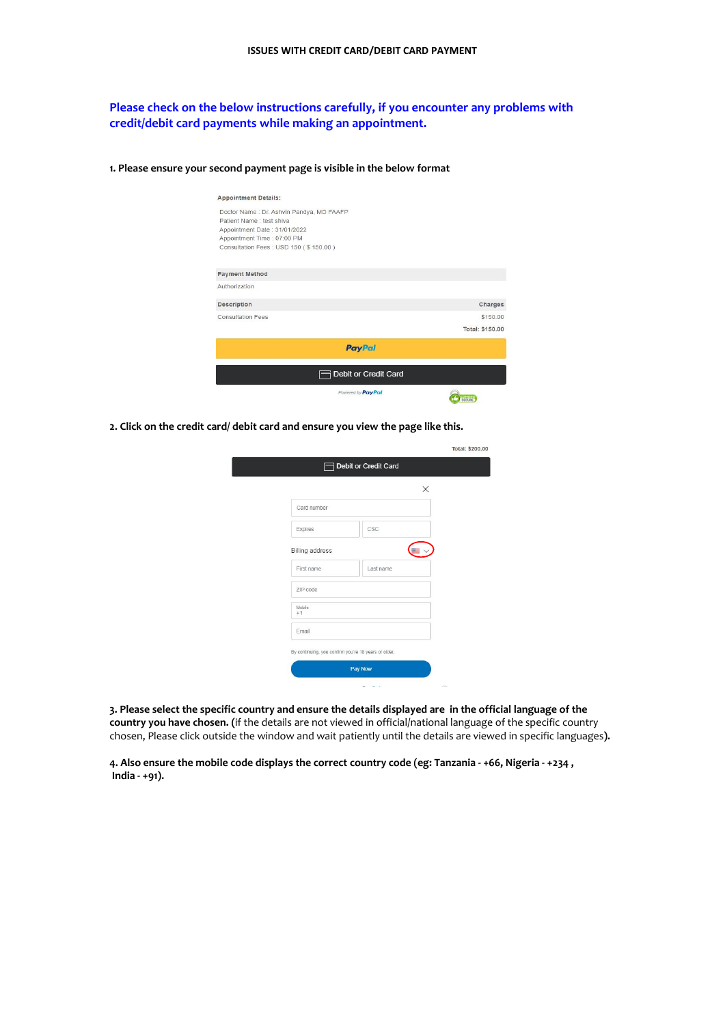## **Please check on the below instructions carefully, if you encounter any problems with credit/debit card payments while making an appointment.**

| <b>Appointment Details:</b>               |                        |
|-------------------------------------------|------------------------|
| Doctor Name : Dr. Ashvin Pandya, MD FAAFP |                        |
| Patient Name: test shiva                  |                        |
| Appointment Date: 31/01/2022              |                        |
| Appointment Time: 07:00 PM                |                        |
| Consultation Fees: USD 150 (\$150.00)     |                        |
| <b>Payment Method</b>                     |                        |
| Authorization                             |                        |
| <b>Description</b>                        | Charges                |
| <b>Consultation Fees</b>                  | \$150.00               |
|                                           | <b>Total: \$150.00</b> |
| <b>PayPal</b>                             |                        |
| <b>Posit or Credit Card</b>               |                        |
| Powered by PayPal                         |                        |

**1. Please ensure your second payment page is visible in the below format**

**2. Click on the credit card/ debit card and ensure you view the page like this.**

|                                                      |           | $\times$ |  |
|------------------------------------------------------|-----------|----------|--|
| Card number                                          |           |          |  |
| Expires                                              | CSC       |          |  |
| <b>Billing address</b>                               |           |          |  |
| First name                                           | Last name |          |  |
| ZIP code                                             |           |          |  |
| Mobile<br>$+1$                                       |           |          |  |
| Email                                                |           |          |  |
| By continuing, you confirm you're 18 years or older. |           |          |  |

3. Please select the specific country and ensure the details displayed are in the official language of the **country you have chosen. (**if the details are not viewed in official/national language of the specific country chosen, Please click outside the window and wait patiently until the details are viewed in specific languages**).**

4. Also ensure the mobile code displays the correct country code (eg: Tanzania - +66, Nigeria - +234, **India - +91).**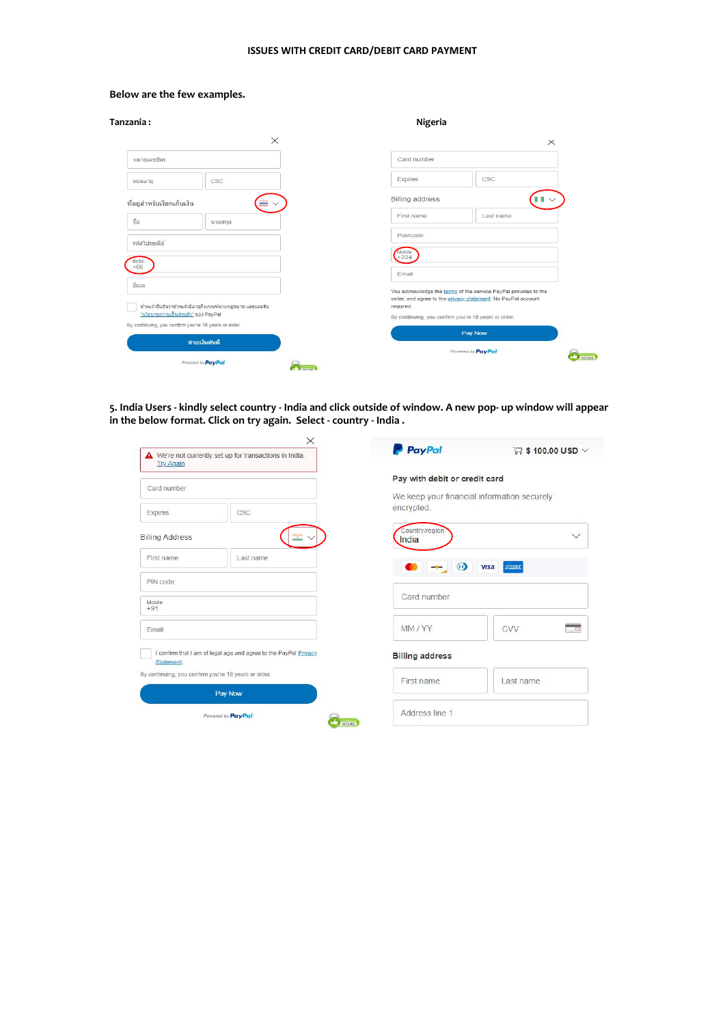## **ISSUES WITH CREDIT CARD/DEBIT CARD PAYMENT**

## **Below are the few examples.**

| Tanzania :                                                                                        | Nigeria                                                                                                                                       |
|---------------------------------------------------------------------------------------------------|-----------------------------------------------------------------------------------------------------------------------------------------------|
| $\times$                                                                                          | $\times$                                                                                                                                      |
| หมายเลขบัตร                                                                                       | Card number                                                                                                                                   |
| CSC<br>หมดอาย                                                                                     | CSC<br>Expires                                                                                                                                |
| ที่อยู่สำหรับเรียกเก็บเงิน                                                                        | <b>Billing address</b>                                                                                                                        |
| ชื่อ<br>นามสกล                                                                                    | First name<br>Last name                                                                                                                       |
| รหัสใปรษณีย์                                                                                      | Postcode                                                                                                                                      |
| มือถือ<br>$+66$                                                                                   | Mobile<br>$+234$                                                                                                                              |
| อีเมล                                                                                             | Email                                                                                                                                         |
| ข้าพเจ้ายืนยันว่าข้าพเจ้ามีอายุถึงเกณฑ์ตามกฎหมาย และยอมรับ                                        | You acknowledge the terms of the service PayPal provides to the<br>seller, and agree to the privacy statement. No PayPal account<br>required. |
| <u>"นโยบายความเป็นส่วนตัว"</u> ของ PayPal<br>By continuing, you confirm you're 18 years or older. | By continuing, you confirm you're 18 years or older.                                                                                          |
| ชำระเงินทันที                                                                                     | Pay Now                                                                                                                                       |
|                                                                                                   | Powered by PayPal                                                                                                                             |
| Powered by PayPal                                                                                 | SECURE                                                                                                                                        |

5. India Users - kindly select country - India and click outside of window. A new pop- up window will appear **in the below format. Click on try again. Select - country - India .**

| <b>Try Again</b>       | We're not currently set up for transactions in India.            | <b>P</b> PayPal                                           | $\Box$ \$ 100.00 USD $\vee$ |
|------------------------|------------------------------------------------------------------|-----------------------------------------------------------|-----------------------------|
| Card number            |                                                                  | Pay with debit or credit card                             |                             |
| Expires                | CSC                                                              | We keep your financial information securely<br>encrypted. |                             |
| <b>Billing Address</b> |                                                                  | Country/region<br>India                                   | $\checkmark$                |
| First name.            | Last name                                                        | $\omega$                                                  | <b>AMEX</b><br><b>VISA</b>  |
| PIN code               |                                                                  |                                                           |                             |
| Mobile<br>$+91$        |                                                                  | Card number                                               |                             |
| Email                  |                                                                  | MM/YY                                                     | CVV                         |
| Statement.             | I confirm that I am of legal age and agree to the PayPal Privacy | <b>Billing address</b>                                    |                             |
|                        | By continuing, you confirm you're 18 years or older.             | First name                                                | Last name                   |
|                        | Pay Now                                                          |                                                           |                             |
|                        | Powered by PayPal                                                | Address line 1                                            |                             |